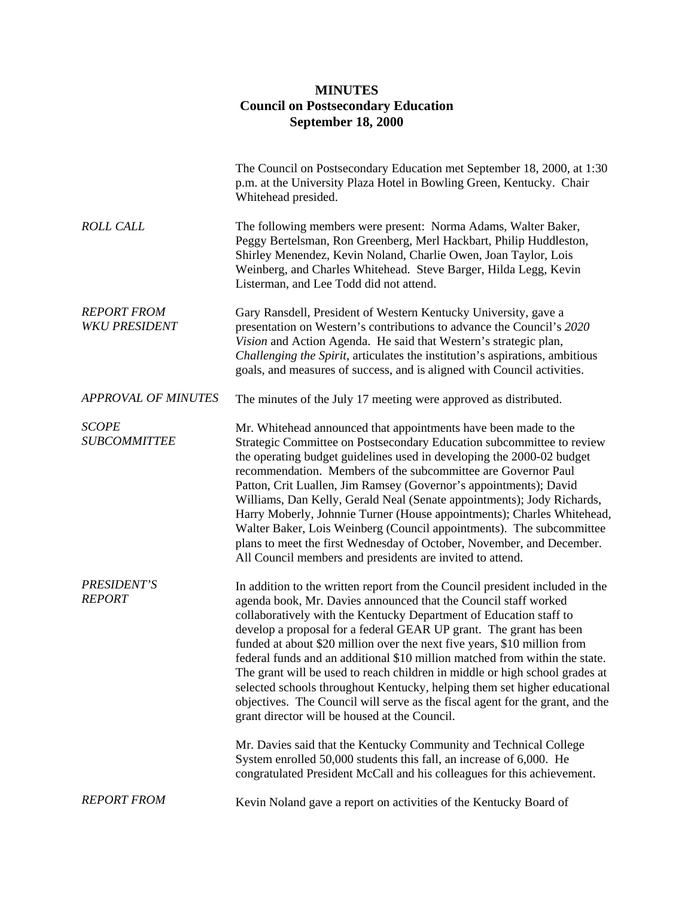## **MINUTES Council on Postsecondary Education September 18, 2000**

|                                            | The Council on Postsecondary Education met September 18, 2000, at 1:30<br>p.m. at the University Plaza Hotel in Bowling Green, Kentucky. Chair<br>Whitehead presided.                                                                                                                                                                                                                                                                                                                                                                                                                                                                                                                                                                                |
|--------------------------------------------|------------------------------------------------------------------------------------------------------------------------------------------------------------------------------------------------------------------------------------------------------------------------------------------------------------------------------------------------------------------------------------------------------------------------------------------------------------------------------------------------------------------------------------------------------------------------------------------------------------------------------------------------------------------------------------------------------------------------------------------------------|
| <b>ROLL CALL</b>                           | The following members were present: Norma Adams, Walter Baker,<br>Peggy Bertelsman, Ron Greenberg, Merl Hackbart, Philip Huddleston,<br>Shirley Menendez, Kevin Noland, Charlie Owen, Joan Taylor, Lois<br>Weinberg, and Charles Whitehead. Steve Barger, Hilda Legg, Kevin<br>Listerman, and Lee Todd did not attend.                                                                                                                                                                                                                                                                                                                                                                                                                               |
| <b>REPORT FROM</b><br><b>WKU PRESIDENT</b> | Gary Ransdell, President of Western Kentucky University, gave a<br>presentation on Western's contributions to advance the Council's 2020<br>Vision and Action Agenda. He said that Western's strategic plan,<br>Challenging the Spirit, articulates the institution's aspirations, ambitious<br>goals, and measures of success, and is aligned with Council activities.                                                                                                                                                                                                                                                                                                                                                                              |
| <b>APPROVAL OF MINUTES</b>                 | The minutes of the July 17 meeting were approved as distributed.                                                                                                                                                                                                                                                                                                                                                                                                                                                                                                                                                                                                                                                                                     |
| <b>SCOPE</b><br><b>SUBCOMMITTEE</b>        | Mr. Whitehead announced that appointments have been made to the<br>Strategic Committee on Postsecondary Education subcommittee to review<br>the operating budget guidelines used in developing the 2000-02 budget<br>recommendation. Members of the subcommittee are Governor Paul<br>Patton, Crit Luallen, Jim Ramsey (Governor's appointments); David<br>Williams, Dan Kelly, Gerald Neal (Senate appointments); Jody Richards,<br>Harry Moberly, Johnnie Turner (House appointments); Charles Whitehead,<br>Walter Baker, Lois Weinberg (Council appointments). The subcommittee<br>plans to meet the first Wednesday of October, November, and December.<br>All Council members and presidents are invited to attend.                            |
| PRESIDENT'S<br><b>REPORT</b>               | In addition to the written report from the Council president included in the<br>agenda book, Mr. Davies announced that the Council staff worked<br>collaboratively with the Kentucky Department of Education staff to<br>develop a proposal for a federal GEAR UP grant. The grant has been<br>funded at about \$20 million over the next five years, \$10 million from<br>federal funds and an additional \$10 million matched from within the state.<br>The grant will be used to reach children in middle or high school grades at<br>selected schools throughout Kentucky, helping them set higher educational<br>objectives. The Council will serve as the fiscal agent for the grant, and the<br>grant director will be housed at the Council. |
|                                            | Mr. Davies said that the Kentucky Community and Technical College<br>System enrolled 50,000 students this fall, an increase of 6,000. He<br>congratulated President McCall and his colleagues for this achievement.                                                                                                                                                                                                                                                                                                                                                                                                                                                                                                                                  |
| <b>REPORT FROM</b>                         | Kevin Noland gave a report on activities of the Kentucky Board of                                                                                                                                                                                                                                                                                                                                                                                                                                                                                                                                                                                                                                                                                    |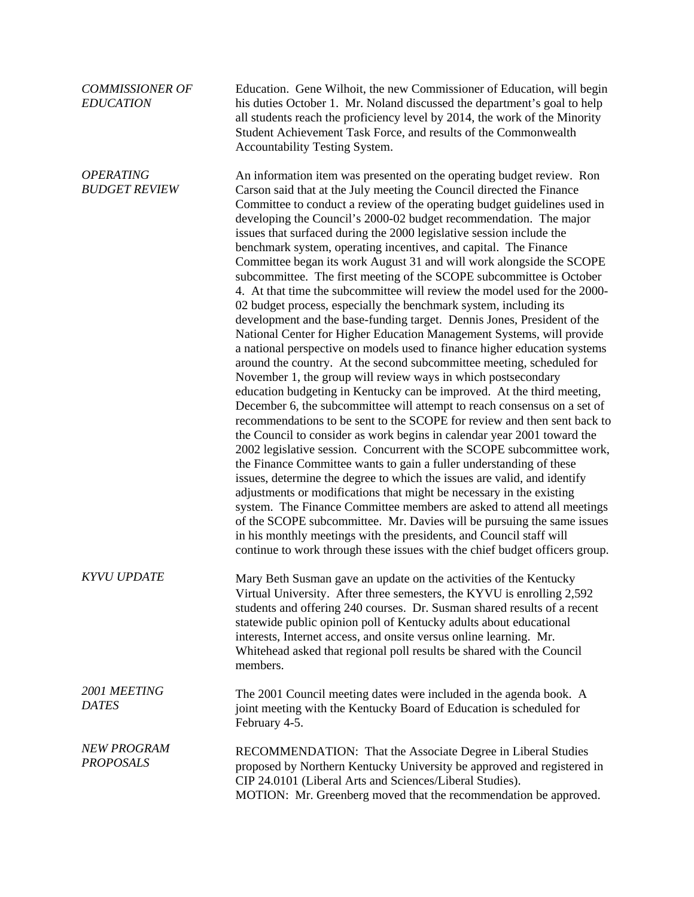| <b>COMMISSIONER OF</b><br><b>EDUCATION</b> | Education. Gene Wilhoit, the new Commissioner of Education, will begin<br>his duties October 1. Mr. Noland discussed the department's goal to help<br>all students reach the proficiency level by 2014, the work of the Minority<br>Student Achievement Task Force, and results of the Commonwealth<br>Accountability Testing System.                                                                                                                                                                                                                                                                                                                                                                                                                                                                                                                                                                                                                                                                                                                                                                                                                                                                                                                                                                                                                                                                                                                                                                                                                                                                                                                                                                                                                                                                                                                                                                                                                                                                                                                |
|--------------------------------------------|------------------------------------------------------------------------------------------------------------------------------------------------------------------------------------------------------------------------------------------------------------------------------------------------------------------------------------------------------------------------------------------------------------------------------------------------------------------------------------------------------------------------------------------------------------------------------------------------------------------------------------------------------------------------------------------------------------------------------------------------------------------------------------------------------------------------------------------------------------------------------------------------------------------------------------------------------------------------------------------------------------------------------------------------------------------------------------------------------------------------------------------------------------------------------------------------------------------------------------------------------------------------------------------------------------------------------------------------------------------------------------------------------------------------------------------------------------------------------------------------------------------------------------------------------------------------------------------------------------------------------------------------------------------------------------------------------------------------------------------------------------------------------------------------------------------------------------------------------------------------------------------------------------------------------------------------------------------------------------------------------------------------------------------------------|
| <b>OPERATING</b><br><b>BUDGET REVIEW</b>   | An information item was presented on the operating budget review. Ron<br>Carson said that at the July meeting the Council directed the Finance<br>Committee to conduct a review of the operating budget guidelines used in<br>developing the Council's 2000-02 budget recommendation. The major<br>issues that surfaced during the 2000 legislative session include the<br>benchmark system, operating incentives, and capital. The Finance<br>Committee began its work August 31 and will work alongside the SCOPE<br>subcommittee. The first meeting of the SCOPE subcommittee is October<br>4. At that time the subcommittee will review the model used for the 2000-<br>02 budget process, especially the benchmark system, including its<br>development and the base-funding target. Dennis Jones, President of the<br>National Center for Higher Education Management Systems, will provide<br>a national perspective on models used to finance higher education systems<br>around the country. At the second subcommittee meeting, scheduled for<br>November 1, the group will review ways in which postsecondary<br>education budgeting in Kentucky can be improved. At the third meeting,<br>December 6, the subcommittee will attempt to reach consensus on a set of<br>recommendations to be sent to the SCOPE for review and then sent back to<br>the Council to consider as work begins in calendar year 2001 toward the<br>2002 legislative session. Concurrent with the SCOPE subcommittee work,<br>the Finance Committee wants to gain a fuller understanding of these<br>issues, determine the degree to which the issues are valid, and identify<br>adjustments or modifications that might be necessary in the existing<br>system. The Finance Committee members are asked to attend all meetings<br>of the SCOPE subcommittee. Mr. Davies will be pursuing the same issues<br>in his monthly meetings with the presidents, and Council staff will<br>continue to work through these issues with the chief budget officers group. |
| <b>KYVU UPDATE</b>                         | Mary Beth Susman gave an update on the activities of the Kentucky<br>Virtual University. After three semesters, the KYVU is enrolling 2,592<br>students and offering 240 courses. Dr. Susman shared results of a recent<br>statewide public opinion poll of Kentucky adults about educational<br>interests, Internet access, and onsite versus online learning. Mr.<br>Whitehead asked that regional poll results be shared with the Council<br>members.                                                                                                                                                                                                                                                                                                                                                                                                                                                                                                                                                                                                                                                                                                                                                                                                                                                                                                                                                                                                                                                                                                                                                                                                                                                                                                                                                                                                                                                                                                                                                                                             |
| 2001 MEETING<br><b>DATES</b>               | The 2001 Council meeting dates were included in the agenda book. A<br>joint meeting with the Kentucky Board of Education is scheduled for<br>February 4-5.                                                                                                                                                                                                                                                                                                                                                                                                                                                                                                                                                                                                                                                                                                                                                                                                                                                                                                                                                                                                                                                                                                                                                                                                                                                                                                                                                                                                                                                                                                                                                                                                                                                                                                                                                                                                                                                                                           |
| <b>NEW PROGRAM</b><br><b>PROPOSALS</b>     | RECOMMENDATION: That the Associate Degree in Liberal Studies<br>proposed by Northern Kentucky University be approved and registered in<br>CIP 24.0101 (Liberal Arts and Sciences/Liberal Studies).<br>MOTION: Mr. Greenberg moved that the recommendation be approved.                                                                                                                                                                                                                                                                                                                                                                                                                                                                                                                                                                                                                                                                                                                                                                                                                                                                                                                                                                                                                                                                                                                                                                                                                                                                                                                                                                                                                                                                                                                                                                                                                                                                                                                                                                               |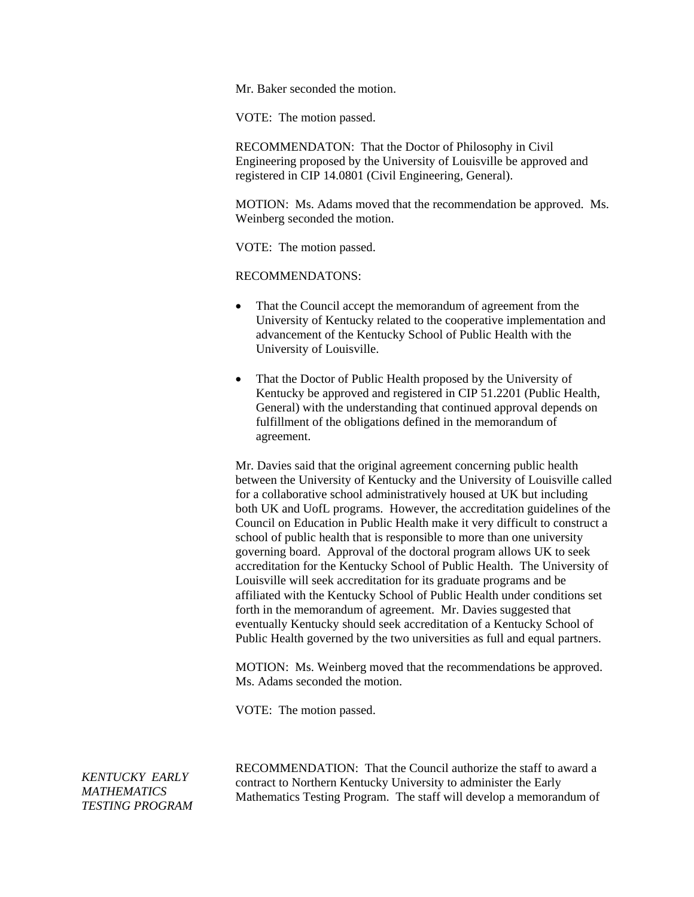Mr. Baker seconded the motion.

VOTE: The motion passed.

RECOMMENDATON: That the Doctor of Philosophy in Civil Engineering proposed by the University of Louisville be approved and registered in CIP 14.0801 (Civil Engineering, General).

MOTION: Ms. Adams moved that the recommendation be approved. Ms. Weinberg seconded the motion.

VOTE: The motion passed.

RECOMMENDATONS:

- That the Council accept the memorandum of agreement from the University of Kentucky related to the cooperative implementation and advancement of the Kentucky School of Public Health with the University of Louisville.
- That the Doctor of Public Health proposed by the University of Kentucky be approved and registered in CIP 51.2201 (Public Health, General) with the understanding that continued approval depends on fulfillment of the obligations defined in the memorandum of agreement.

Mr. Davies said that the original agreement concerning public health between the University of Kentucky and the University of Louisville called for a collaborative school administratively housed at UK but including both UK and UofL programs. However, the accreditation guidelines of the Council on Education in Public Health make it very difficult to construct a school of public health that is responsible to more than one university governing board. Approval of the doctoral program allows UK to seek accreditation for the Kentucky School of Public Health. The University of Louisville will seek accreditation for its graduate programs and be affiliated with the Kentucky School of Public Health under conditions set forth in the memorandum of agreement. Mr. Davies suggested that eventually Kentucky should seek accreditation of a Kentucky School of Public Health governed by the two universities as full and equal partners.

MOTION: Ms. Weinberg moved that the recommendations be approved. Ms. Adams seconded the motion.

VOTE: The motion passed.

*KENTUCKY EARLY MATHEMATICS TESTING PROGRAM*  RECOMMENDATION: That the Council authorize the staff to award a contract to Northern Kentucky University to administer the Early Mathematics Testing Program. The staff will develop a memorandum of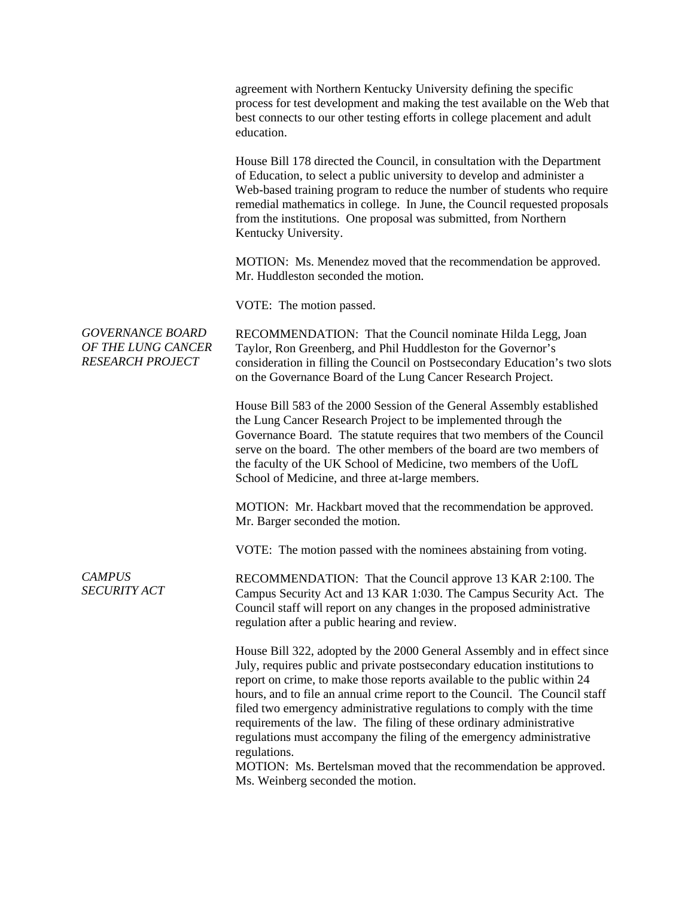|                                                                          | agreement with Northern Kentucky University defining the specific<br>process for test development and making the test available on the Web that<br>best connects to our other testing efforts in college placement and adult<br>education.                                                                                                                                                                                                                                                                                                                                                                                                                            |
|--------------------------------------------------------------------------|-----------------------------------------------------------------------------------------------------------------------------------------------------------------------------------------------------------------------------------------------------------------------------------------------------------------------------------------------------------------------------------------------------------------------------------------------------------------------------------------------------------------------------------------------------------------------------------------------------------------------------------------------------------------------|
|                                                                          | House Bill 178 directed the Council, in consultation with the Department<br>of Education, to select a public university to develop and administer a<br>Web-based training program to reduce the number of students who require<br>remedial mathematics in college. In June, the Council requested proposals<br>from the institutions. One proposal was submitted, from Northern<br>Kentucky University.                                                                                                                                                                                                                                                               |
|                                                                          | MOTION: Ms. Menendez moved that the recommendation be approved.<br>Mr. Huddleston seconded the motion.                                                                                                                                                                                                                                                                                                                                                                                                                                                                                                                                                                |
|                                                                          | VOTE: The motion passed.                                                                                                                                                                                                                                                                                                                                                                                                                                                                                                                                                                                                                                              |
| <b>GOVERNANCE BOARD</b><br>OF THE LUNG CANCER<br><b>RESEARCH PROJECT</b> | RECOMMENDATION: That the Council nominate Hilda Legg, Joan<br>Taylor, Ron Greenberg, and Phil Huddleston for the Governor's<br>consideration in filling the Council on Postsecondary Education's two slots<br>on the Governance Board of the Lung Cancer Research Project.                                                                                                                                                                                                                                                                                                                                                                                            |
|                                                                          | House Bill 583 of the 2000 Session of the General Assembly established<br>the Lung Cancer Research Project to be implemented through the<br>Governance Board. The statute requires that two members of the Council<br>serve on the board. The other members of the board are two members of<br>the faculty of the UK School of Medicine, two members of the UofL<br>School of Medicine, and three at-large members.                                                                                                                                                                                                                                                   |
|                                                                          | MOTION: Mr. Hackbart moved that the recommendation be approved.<br>Mr. Barger seconded the motion.                                                                                                                                                                                                                                                                                                                                                                                                                                                                                                                                                                    |
|                                                                          | VOTE: The motion passed with the nominees abstaining from voting.                                                                                                                                                                                                                                                                                                                                                                                                                                                                                                                                                                                                     |
| <b>CAMPUS</b><br><b>SECURITY ACT</b>                                     | RECOMMENDATION: That the Council approve 13 KAR 2:100. The<br>Campus Security Act and 13 KAR 1:030. The Campus Security Act. The<br>Council staff will report on any changes in the proposed administrative<br>regulation after a public hearing and review.                                                                                                                                                                                                                                                                                                                                                                                                          |
|                                                                          | House Bill 322, adopted by the 2000 General Assembly and in effect since<br>July, requires public and private postsecondary education institutions to<br>report on crime, to make those reports available to the public within 24<br>hours, and to file an annual crime report to the Council. The Council staff<br>filed two emergency administrative regulations to comply with the time<br>requirements of the law. The filing of these ordinary administrative<br>regulations must accompany the filing of the emergency administrative<br>regulations.<br>MOTION: Ms. Bertelsman moved that the recommendation be approved.<br>Ms. Weinberg seconded the motion. |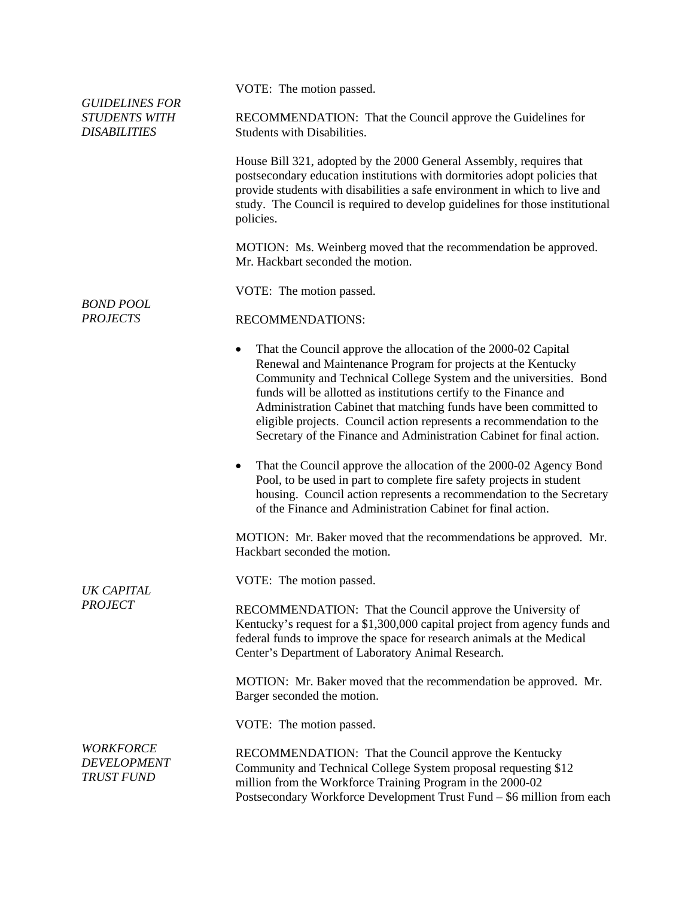| <b>GUIDELINES FOR</b><br><b>STUDENTS WITH</b><br><b>DISABILITIES</b> | VOTE: The motion passed.                                                                                                                                                                                                                                                                                                                                                                                                                                                                                    |
|----------------------------------------------------------------------|-------------------------------------------------------------------------------------------------------------------------------------------------------------------------------------------------------------------------------------------------------------------------------------------------------------------------------------------------------------------------------------------------------------------------------------------------------------------------------------------------------------|
|                                                                      | RECOMMENDATION: That the Council approve the Guidelines for<br>Students with Disabilities.                                                                                                                                                                                                                                                                                                                                                                                                                  |
| <b>BOND POOL</b><br><b>PROJECTS</b>                                  | House Bill 321, adopted by the 2000 General Assembly, requires that<br>postsecondary education institutions with dormitories adopt policies that<br>provide students with disabilities a safe environment in which to live and<br>study. The Council is required to develop guidelines for those institutional<br>policies.                                                                                                                                                                                 |
|                                                                      | MOTION: Ms. Weinberg moved that the recommendation be approved.<br>Mr. Hackbart seconded the motion.                                                                                                                                                                                                                                                                                                                                                                                                        |
|                                                                      | VOTE: The motion passed.                                                                                                                                                                                                                                                                                                                                                                                                                                                                                    |
|                                                                      | <b>RECOMMENDATIONS:</b>                                                                                                                                                                                                                                                                                                                                                                                                                                                                                     |
|                                                                      | That the Council approve the allocation of the 2000-02 Capital<br>$\bullet$<br>Renewal and Maintenance Program for projects at the Kentucky<br>Community and Technical College System and the universities. Bond<br>funds will be allotted as institutions certify to the Finance and<br>Administration Cabinet that matching funds have been committed to<br>eligible projects. Council action represents a recommendation to the<br>Secretary of the Finance and Administration Cabinet for final action. |
| UK CAPITAL<br><b>PROJECT</b>                                         | That the Council approve the allocation of the 2000-02 Agency Bond<br>٠<br>Pool, to be used in part to complete fire safety projects in student<br>housing. Council action represents a recommendation to the Secretary<br>of the Finance and Administration Cabinet for final action.                                                                                                                                                                                                                      |
|                                                                      | MOTION: Mr. Baker moved that the recommendations be approved. Mr.<br>Hackbart seconded the motion.                                                                                                                                                                                                                                                                                                                                                                                                          |
|                                                                      | VOTE: The motion passed.                                                                                                                                                                                                                                                                                                                                                                                                                                                                                    |
|                                                                      | RECOMMENDATION: That the Council approve the University of<br>Kentucky's request for a \$1,300,000 capital project from agency funds and<br>federal funds to improve the space for research animals at the Medical<br>Center's Department of Laboratory Animal Research.                                                                                                                                                                                                                                    |
|                                                                      | MOTION: Mr. Baker moved that the recommendation be approved. Mr.<br>Barger seconded the motion.                                                                                                                                                                                                                                                                                                                                                                                                             |
|                                                                      | VOTE: The motion passed.                                                                                                                                                                                                                                                                                                                                                                                                                                                                                    |
| <b>WORKFORCE</b><br><b>DEVELOPMENT</b><br>TRUST FUND                 | RECOMMENDATION: That the Council approve the Kentucky<br>Community and Technical College System proposal requesting \$12<br>million from the Workforce Training Program in the 2000-02<br>Postsecondary Workforce Development Trust Fund – \$6 million from each                                                                                                                                                                                                                                            |